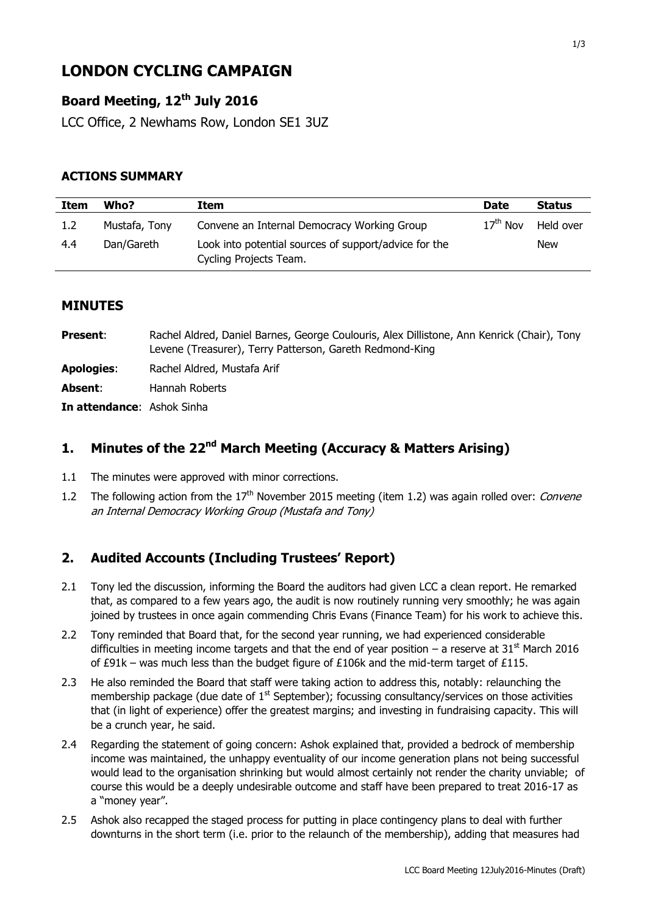# **LONDON CYCLING CAMPAIGN**

# **Board Meeting, 12th July 2016**

LCC Office, 2 Newhams Row, London SE1 3UZ

#### **ACTIONS SUMMARY**

| Item | Who?          | Item                                                                            | <b>Date</b> | <b>Status</b> |
|------|---------------|---------------------------------------------------------------------------------|-------------|---------------|
| 1.2  | Mustafa, Tony | Convene an Internal Democracy Working Group                                     | $17th$ Nov  | Held over     |
| 4.4  | Dan/Gareth    | Look into potential sources of support/advice for the<br>Cycling Projects Team. |             | <b>New</b>    |

#### **MINUTES**

| <b>Present:</b>                   | Rachel Aldred, Daniel Barnes, George Coulouris, Alex Dillistone, Ann Kenrick (Chair), Tony<br>Levene (Treasurer), Terry Patterson, Gareth Redmond-King |
|-----------------------------------|--------------------------------------------------------------------------------------------------------------------------------------------------------|
| <b>Apologies:</b>                 | Rachel Aldred, Mustafa Arif                                                                                                                            |
| Absent:                           | Hannah Roberts                                                                                                                                         |
| <b>In attendance:</b> Ashok Sinha |                                                                                                                                                        |

# **1. Minutes of the 22nd March Meeting (Accuracy & Matters Arising)**

- 1.1 The minutes were approved with minor corrections.
- 1.2 The following action from the 17<sup>th</sup> November 2015 meeting (item 1.2) was again rolled over: *Convene* an Internal Democracy Working Group (Mustafa and Tony)

# **2. Audited Accounts (Including Trustees' Report)**

- 2.1 Tony led the discussion, informing the Board the auditors had given LCC a clean report. He remarked that, as compared to a few years ago, the audit is now routinely running very smoothly; he was again joined by trustees in once again commending Chris Evans (Finance Team) for his work to achieve this.
- 2.2 Tony reminded that Board that, for the second year running, we had experienced considerable difficulties in meeting income targets and that the end of year position – a reserve at 31<sup>st</sup> March 2016 of £91k – was much less than the budget figure of £106k and the mid-term target of £115.
- 2.3 He also reminded the Board that staff were taking action to address this, notably: relaunching the membership package (due date of  $1<sup>st</sup>$  September); focussing consultancy/services on those activities that (in light of experience) offer the greatest margins; and investing in fundraising capacity. This will be a crunch year, he said.
- 2.4 Regarding the statement of going concern: Ashok explained that, provided a bedrock of membership income was maintained, the unhappy eventuality of our income generation plans not being successful would lead to the organisation shrinking but would almost certainly not render the charity unviable; of course this would be a deeply undesirable outcome and staff have been prepared to treat 2016-17 as a "money year".
- 2.5 Ashok also recapped the staged process for putting in place contingency plans to deal with further downturns in the short term (i.e. prior to the relaunch of the membership), adding that measures had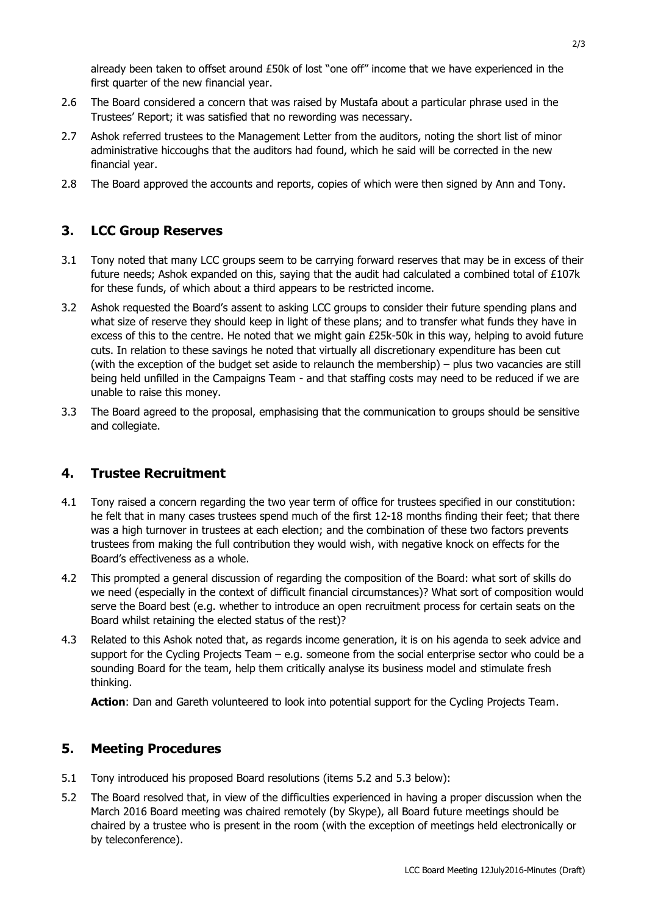already been taken to offset around £50k of lost "one off" income that we have experienced in the first quarter of the new financial year.

- 2.6 The Board considered a concern that was raised by Mustafa about a particular phrase used in the Trustees' Report; it was satisfied that no rewording was necessary.
- 2.7 Ashok referred trustees to the Management Letter from the auditors, noting the short list of minor administrative hiccoughs that the auditors had found, which he said will be corrected in the new financial year.
- 2.8 The Board approved the accounts and reports, copies of which were then signed by Ann and Tony.

### **3. LCC Group Reserves**

- 3.1 Tony noted that many LCC groups seem to be carrying forward reserves that may be in excess of their future needs; Ashok expanded on this, saying that the audit had calculated a combined total of £107k for these funds, of which about a third appears to be restricted income.
- 3.2 Ashok requested the Board's assent to asking LCC groups to consider their future spending plans and what size of reserve they should keep in light of these plans; and to transfer what funds they have in excess of this to the centre. He noted that we might gain £25k-50k in this way, helping to avoid future cuts. In relation to these savings he noted that virtually all discretionary expenditure has been cut (with the exception of the budget set aside to relaunch the membership) – plus two vacancies are still being held unfilled in the Campaigns Team - and that staffing costs may need to be reduced if we are unable to raise this money.
- 3.3 The Board agreed to the proposal, emphasising that the communication to groups should be sensitive and collegiate.

# **4. Trustee Recruitment**

- 4.1 Tony raised a concern regarding the two year term of office for trustees specified in our constitution: he felt that in many cases trustees spend much of the first 12-18 months finding their feet; that there was a high turnover in trustees at each election; and the combination of these two factors prevents trustees from making the full contribution they would wish, with negative knock on effects for the Board's effectiveness as a whole.
- 4.2 This prompted a general discussion of regarding the composition of the Board: what sort of skills do we need (especially in the context of difficult financial circumstances)? What sort of composition would serve the Board best (e.g. whether to introduce an open recruitment process for certain seats on the Board whilst retaining the elected status of the rest)?
- 4.3 Related to this Ashok noted that, as regards income generation, it is on his agenda to seek advice and support for the Cycling Projects Team – e.g. someone from the social enterprise sector who could be a sounding Board for the team, help them critically analyse its business model and stimulate fresh thinking.

**Action**: Dan and Gareth volunteered to look into potential support for the Cycling Projects Team.

#### **5. Meeting Procedures**

- 5.1 Tony introduced his proposed Board resolutions (items 5.2 and 5.3 below):
- 5.2 The Board resolved that, in view of the difficulties experienced in having a proper discussion when the March 2016 Board meeting was chaired remotely (by Skype), all Board future meetings should be chaired by a trustee who is present in the room (with the exception of meetings held electronically or by teleconference).